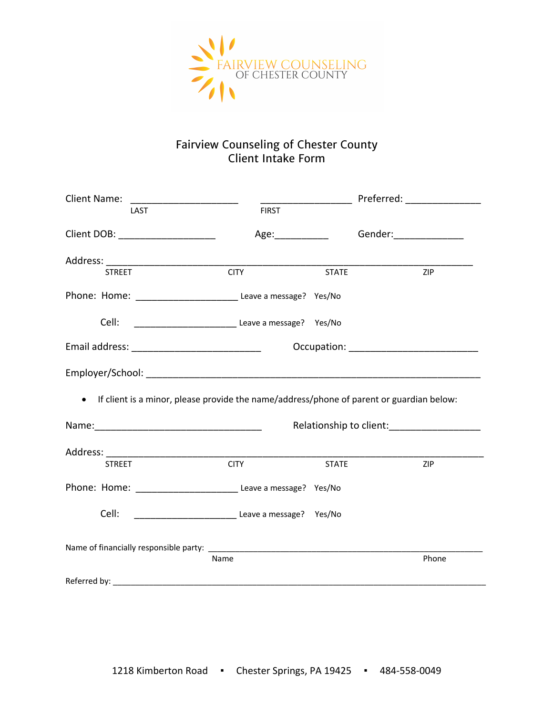

## Fairview Counseling of Chester County Client Intake Form

| <b>Client Name:</b>                                                                        |                         |              | Preferred: _________________                                                                                                                                                                                                   |  |
|--------------------------------------------------------------------------------------------|-------------------------|--------------|--------------------------------------------------------------------------------------------------------------------------------------------------------------------------------------------------------------------------------|--|
| LAST                                                                                       | <b>FIRST</b>            |              |                                                                                                                                                                                                                                |  |
| Client DOB: _____________________                                                          | Age:                    |              | Gender: Same Management of the Senator Senator Senator Senator Senator Senator Senator Senator Senator Senator Senator Senator Senator Senator Senator Senator Senator Senator Senator Senator Senator Senator Senator Senator |  |
|                                                                                            |                         |              |                                                                                                                                                                                                                                |  |
| <b>STREET</b>                                                                              | <b>CITY</b>             | <b>STATE</b> | ZIP                                                                                                                                                                                                                            |  |
| Phone: Home: _________________________________ Leave a message? Yes/No                     |                         |              |                                                                                                                                                                                                                                |  |
|                                                                                            |                         |              |                                                                                                                                                                                                                                |  |
| Email address: _______________________________                                             |                         |              |                                                                                                                                                                                                                                |  |
|                                                                                            |                         |              |                                                                                                                                                                                                                                |  |
| • If client is a minor, please provide the name/address/phone of parent or guardian below: |                         |              |                                                                                                                                                                                                                                |  |
|                                                                                            |                         |              |                                                                                                                                                                                                                                |  |
|                                                                                            |                         |              |                                                                                                                                                                                                                                |  |
| <b>STREET</b>                                                                              | <b>CITY</b>             | <b>STATE</b> | <b>ZIP</b>                                                                                                                                                                                                                     |  |
| Phone: Home: __________________________________ Leave a message? Yes/No                    |                         |              |                                                                                                                                                                                                                                |  |
| Cell:                                                                                      | Leave a message? Yes/No |              |                                                                                                                                                                                                                                |  |
|                                                                                            |                         |              |                                                                                                                                                                                                                                |  |
|                                                                                            | Name                    |              | Phone                                                                                                                                                                                                                          |  |
|                                                                                            |                         |              |                                                                                                                                                                                                                                |  |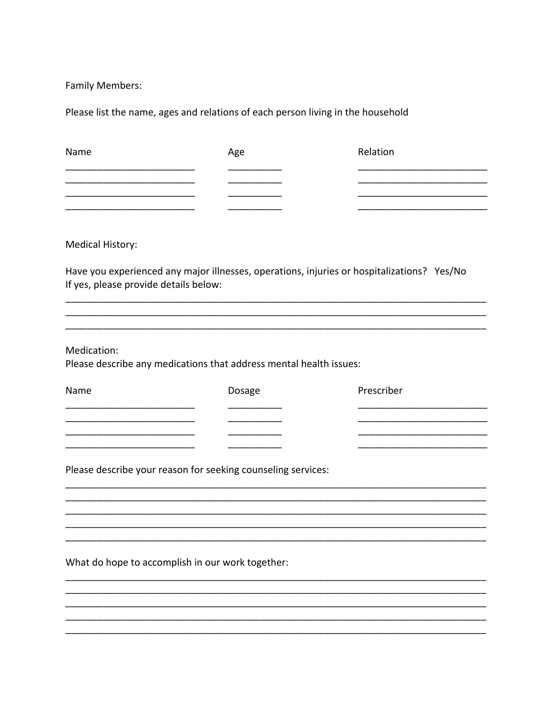Family Members:

Please list the name, ages and relations of each person living in the household

| Name                                                                              | Age    | Relation                                                                                   |
|-----------------------------------------------------------------------------------|--------|--------------------------------------------------------------------------------------------|
|                                                                                   |        |                                                                                            |
|                                                                                   |        |                                                                                            |
| Medical History:                                                                  |        |                                                                                            |
| If yes, please provide details below:                                             |        | Have you experienced any major illnesses, operations, injuries or hospitalizations? Yes/No |
| Medication:<br>Please describe any medications that address mental health issues: |        |                                                                                            |
| Name                                                                              | Dosage | Prescriber                                                                                 |
|                                                                                   |        |                                                                                            |
|                                                                                   |        |                                                                                            |
| Please describe your reason for seeking counseling services:                      |        |                                                                                            |
|                                                                                   |        |                                                                                            |
|                                                                                   |        |                                                                                            |
|                                                                                   |        |                                                                                            |
| What do hope to accomplish in our work together:                                  |        |                                                                                            |
|                                                                                   |        |                                                                                            |
|                                                                                   |        |                                                                                            |